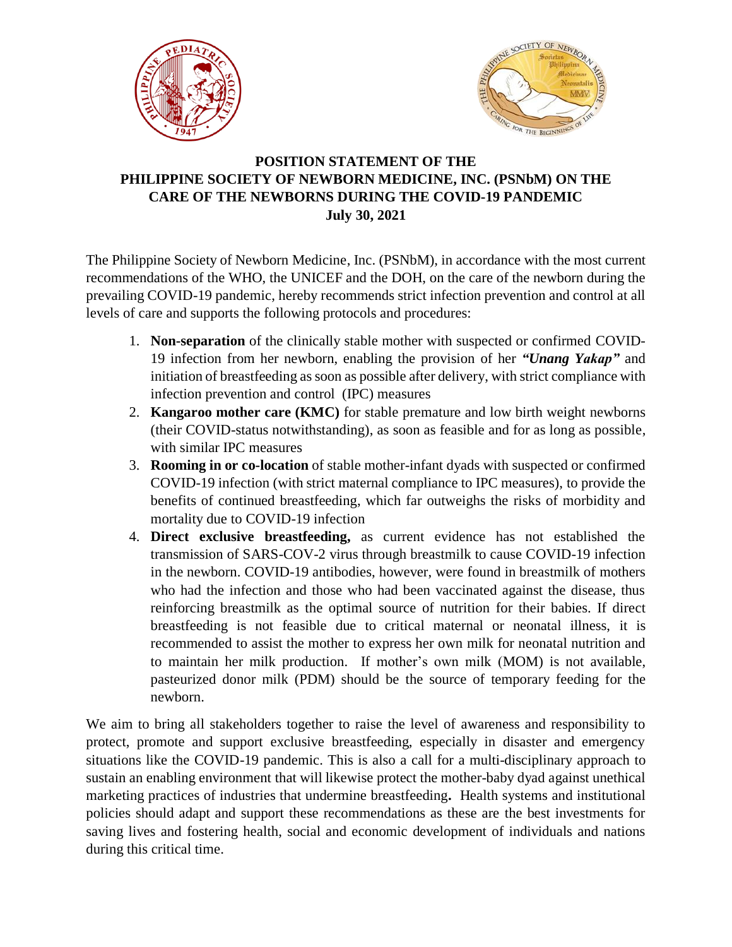



## **POSITION STATEMENT OF THE PHILIPPINE SOCIETY OF NEWBORN MEDICINE, INC. (PSNbM) ON THE CARE OF THE NEWBORNS DURING THE COVID-19 PANDEMIC July 30, 2021**

The Philippine Society of Newborn Medicine, Inc. (PSNbM), in accordance with the most current recommendations of the WHO, the UNICEF and the DOH, on the care of the newborn during the prevailing COVID-19 pandemic, hereby recommends strict infection prevention and control at all levels of care and supports the following protocols and procedures:

- 1. **Non-separation** of the clinically stable mother with suspected or confirmed COVID-19 infection from her newborn, enabling the provision of her *"Unang Yakap"* and initiation of breastfeeding as soon as possible after delivery, with strict compliance with infection prevention and control (IPC) measures
- 2. **Kangaroo mother care (KMC)** for stable premature and low birth weight newborns (their COVID-status notwithstanding), as soon as feasible and for as long as possible, with similar IPC measures
- 3. **Rooming in or co-location** of stable mother-infant dyads with suspected or confirmed COVID-19 infection (with strict maternal compliance to IPC measures), to provide the benefits of continued breastfeeding, which far outweighs the risks of morbidity and mortality due to COVID-19 infection
- 4. **Direct exclusive breastfeeding,** as current evidence has not established the transmission of SARS-COV-2 virus through breastmilk to cause COVID-19 infection in the newborn. COVID-19 antibodies, however, were found in breastmilk of mothers who had the infection and those who had been vaccinated against the disease, thus reinforcing breastmilk as the optimal source of nutrition for their babies. If direct breastfeeding is not feasible due to critical maternal or neonatal illness, it is recommended to assist the mother to express her own milk for neonatal nutrition and to maintain her milk production. If mother's own milk (MOM) is not available, pasteurized donor milk (PDM) should be the source of temporary feeding for the newborn.

We aim to bring all stakeholders together to raise the level of awareness and responsibility to protect, promote and support exclusive breastfeeding, especially in disaster and emergency situations like the COVID-19 pandemic. This is also a call for a multi-disciplinary approach to sustain an enabling environment that will likewise protect the mother-baby dyad against unethical marketing practices of industries that undermine breastfeeding**.** Health systems and institutional policies should adapt and support these recommendations as these are the best investments for saving lives and fostering health, social and economic development of individuals and nations during this critical time.